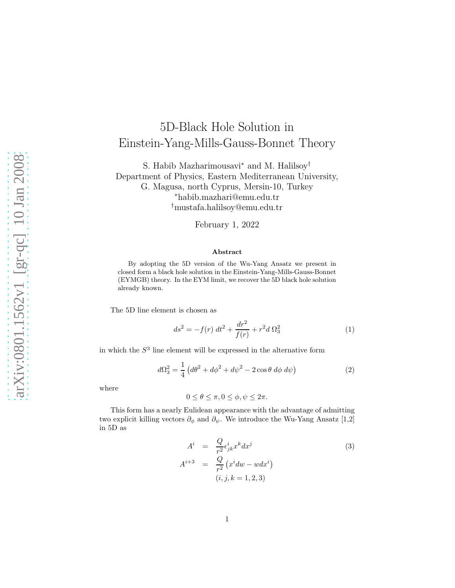## 5D-Black Hole Solution in Einstein-Yang-Mills-Gauss-Bonnet Theory

S. Habib Mazharimousavi<sup>∗</sup> and M. Halilsoy† Department of Physics, Eastern Mediterranean University, G. Magusa, north Cyprus, Mersin-10, Turkey <sup>∗</sup>habib.mazhari@emu.edu.tr †mustafa.halilsoy@emu.edu.tr

February 1, 2022

## Abstract

By adopting the 5D version of the Wu-Yang Ansatz we present in closed form a black hole solution in the Einstein-Yang-Mills-Gauss-Bonnet (EYMGB) theory. In the EYM limit, we recover the 5D black hole solution already known.

The 5D line element is chosen as

$$
ds^{2} = -f(r) dt^{2} + \frac{dr^{2}}{f(r)} + r^{2} d \Omega_{3}^{2}
$$
 (1)

in which the  $S<sup>3</sup>$  line element will be expressed in the alternative form

$$
d\Omega_3^2 = \frac{1}{4} \left( d\theta^2 + d\phi^2 + d\psi^2 - 2\cos\theta \ d\phi \ d\psi \right) \tag{2}
$$

where

$$
0 \le \theta \le \pi, 0 \le \phi, \psi \le 2\pi.
$$

This form has a nearly Eulidean appearance with the advantage of admitting two explicit killing vectors  $\partial_{\phi}$  and  $\partial_{\psi}$ . We introduce the Wu-Yang Ansatz [1,2] in 5D as

$$
A^{i} = \frac{Q}{r^{2}} \epsilon_{jk}^{i} x^{k} dx^{j}
$$
  
\n
$$
A^{i+3} = \frac{Q}{r^{2}} (x^{i} dw - w dx^{i})
$$
  
\n
$$
(i, j, k = 1, 2, 3)
$$
\n(3)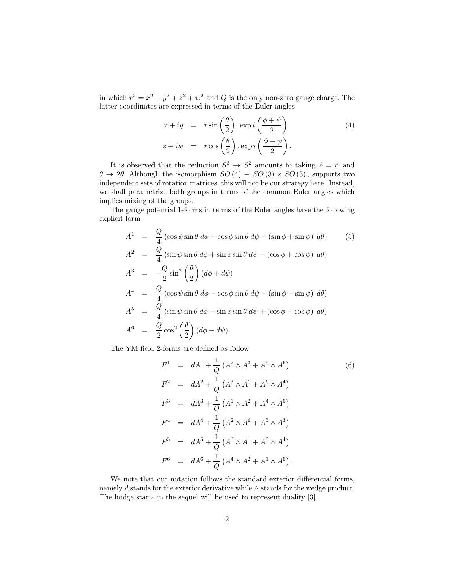in which  $r^2 = x^2 + y^2 + z^2 + w^2$  and Q is the only non-zero gauge charge. The latter coordinates are expressed in terms of the Euler angles

$$
x + iy = r \sin\left(\frac{\theta}{2}\right) \cdot \exp i\left(\frac{\phi + \psi}{2}\right)
$$
  
\n
$$
z + iw = r \cos\left(\frac{\theta}{2}\right) \cdot \exp i\left(\frac{\phi - \psi}{2}\right).
$$
\n(4)

It is observed that the reduction  $S^3 \to S^2$  amounts to taking  $\phi = \psi$  and  $\theta \to 2\theta$ . Although the isomorphism  $SO(4) \equiv SO(3) \times SO(3)$ , supports two independent sets of rotation matrices, this will not be our strategy here. Instead, we shall parametrize both groups in terms of the common Euler angles which implies mixing of the groups.

The gauge potential 1-forms in terms of the Euler angles have the following explicit form

$$
A^{1} = \frac{Q}{4} \left( \cos \psi \sin \theta \, d\phi + \cos \phi \sin \theta \, d\psi + (\sin \phi + \sin \psi) \, d\theta \right) \qquad (5)
$$
  
\n
$$
A^{2} = \frac{Q}{4} \left( \sin \psi \sin \theta \, d\phi + \sin \phi \sin \theta \, d\psi - (\cos \phi + \cos \psi) \, d\theta \right)
$$
  
\n
$$
A^{3} = -\frac{Q}{2} \sin^{2} \left( \frac{\theta}{2} \right) \left( d\phi + d\psi \right)
$$
  
\n
$$
A^{4} = \frac{Q}{4} \left( \cos \psi \sin \theta \, d\phi - \cos \phi \sin \theta \, d\psi - (\sin \phi - \sin \psi) \, d\theta \right)
$$
  
\n
$$
A^{5} = \frac{Q}{4} \left( \sin \psi \sin \theta \, d\phi - \sin \phi \sin \theta \, d\psi + (\cos \phi - \cos \psi) \, d\theta \right)
$$
  
\n
$$
A^{6} = \frac{Q}{2} \cos^{2} \left( \frac{\theta}{2} \right) \left( d\phi - d\psi \right).
$$
  
\n(5) Find the equation of the equation (5) into the equation of the equation (5) into the equation of the equation)

The YM field 2-forms are defined as follow

$$
F^{1} = dA^{1} + \frac{1}{Q} (A^{2} \wedge A^{3} + A^{5} \wedge A^{6})
$$
\n
$$
F^{2} = dA^{2} + \frac{1}{Q} (A^{3} \wedge A^{1} + A^{6} \wedge A^{4})
$$
\n
$$
F^{3} = dA^{3} + \frac{1}{Q} (A^{1} \wedge A^{2} + A^{4} \wedge A^{5})
$$
\n
$$
F^{4} = dA^{4} + \frac{1}{Q} (A^{2} \wedge A^{6} + A^{5} \wedge A^{3})
$$
\n
$$
F^{5} = dA^{5} + \frac{1}{Q} (A^{6} \wedge A^{1} + A^{3} \wedge A^{4})
$$
\n
$$
F^{6} = dA^{6} + \frac{1}{Q} (A^{4} \wedge A^{2} + A^{1} \wedge A^{5}).
$$
\n(6)

We note that our notation follows the standard exterior differential forms, namely d stands for the exterior derivative while ∧ stands for the wedge product. The hodge star ∗ in the sequel will be used to represent duality [3].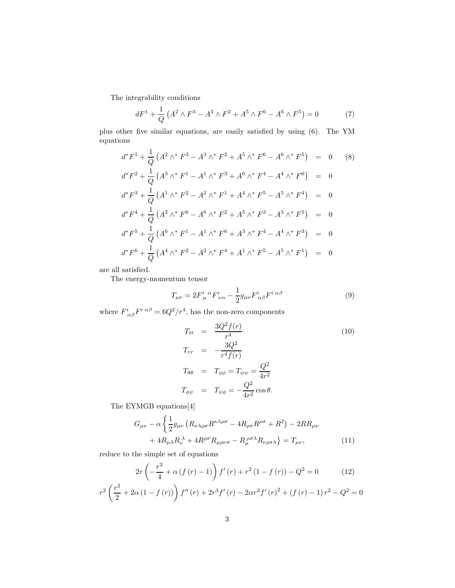The integrability conditions

$$
dF^{1} + \frac{1}{Q} \left( A^{2} \wedge F^{3} - A^{3} \wedge F^{2} + A^{5} \wedge F^{6} - A^{6} \wedge F^{5} \right) = 0 \tag{7}
$$

plus other five similar equations, are easily satisfied by using (6). The YM equations

$$
d^*F^1 + \frac{1}{Q} (A^2 \wedge^* F^3 - A^3 \wedge^* F^2 + A^5 \wedge^* F^6 - A^6 \wedge^* F^5) = 0
$$
 (8)  

$$
d^*F^2 + \frac{1}{Q} (A^3 \wedge^* F^1 - A^1 \wedge^* F^3 + A^6 \wedge^* F^4 - A^4 \wedge^* F^6) = 0
$$
  

$$
d^*F^3 + \frac{1}{Q} (A^1 \wedge^* F^2 - A^2 \wedge^* F^1 + A^4 \wedge^* F^5 - A^5 \wedge^* F^4) = 0
$$
  

$$
d^*F^4 + \frac{1}{Q} (A^2 \wedge^* F^6 - A^6 \wedge^* F^2 + A^5 \wedge^* F^3 - A^3 \wedge^* F^5) = 0
$$
  

$$
d^*F^5 + \frac{1}{Q} (A^6 \wedge^* F^1 - A^1 \wedge^* F^6 + A^3 \wedge^* F^4 - A^4 \wedge^* F^3) = 0
$$
  

$$
d^*F^6 + \frac{1}{Q} (A^4 \wedge^* F^2 - A^2 \wedge^* F^4 + A^1 \wedge^* F^5 - A^5 \wedge^* F^1) = 0
$$

are all satisfied.

The energy-momentum tensor

$$
T_{\mu\nu} = 2F^i_{\mu}{}^{\alpha}F^i_{\nu\alpha} - \frac{1}{2}g_{\mu\nu}F^i_{\alpha\beta}F^{i\alpha\beta}
$$
\n(9)

where  $F^i_{\alpha\beta}F^{i\alpha\beta} = 6Q^2/r^4$ , has the non-zero components

$$
T_{tt} = \frac{3Q^2 f(r)}{r^4}
$$
  
\n
$$
T_{rr} = -\frac{3Q^2}{r^4 f(r)}
$$
  
\n
$$
T_{\theta\theta} = T_{\phi\phi} = T_{\psi\psi} = \frac{Q^2}{4r^2}
$$
  
\n
$$
T_{\phi\psi} = T_{\psi\phi} = -\frac{Q^2}{4r^2} \cos\theta.
$$
  
\n(10)

The EYMGB equations[4]

$$
G_{\mu\nu} - \alpha \left\{ \frac{1}{2} g_{\mu\nu} \left( R_{\kappa\lambda\rho\sigma} R^{\kappa\lambda\rho\sigma} - 4 R_{\rho\sigma} R^{\rho\sigma} + R^2 \right) - 2 R R_{\mu\nu} \right.+ 4 R_{\mu\lambda} R_{\nu}^{\ \lambda} + 4 R^{\rho\sigma} R_{\mu\rho\nu\sigma} - R_{\mu}^{\ \rho\sigma\lambda} R_{\nu\rho\sigma\lambda} \right\} = T_{\mu\nu}, \tag{11}
$$

reduce to the simple set of equations

$$
2r\left(-\frac{r^2}{4} + \alpha\left(f\left(r\right) - 1\right)\right)f'(r) + r^2\left(1 - f\left(r\right)\right) - Q^2 = 0\tag{12}
$$

$$
r^{2} \left(\frac{r^{2}}{2} + 2\alpha (1 - f(r))\right) f''(r) + 2r^{3} f'(r) - 2\alpha r^{2} f'(r)^{2} + (f(r) - 1) r^{2} - Q^{2} = 0
$$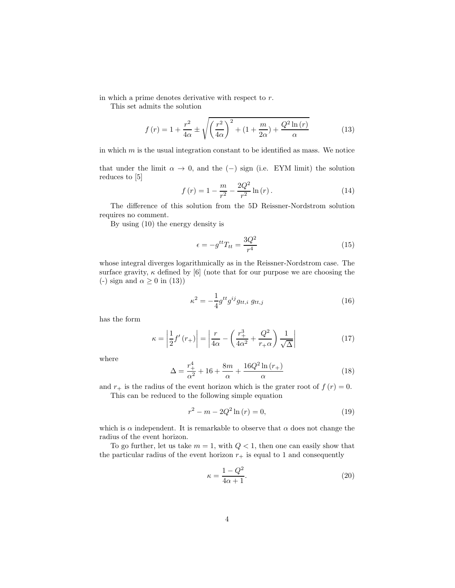in which a prime denotes derivative with respect to r.

This set admits the solution

$$
f(r) = 1 + \frac{r^2}{4\alpha} \pm \sqrt{\left(\frac{r^2}{4\alpha}\right)^2 + \left(1 + \frac{m}{2\alpha}\right) + \frac{Q^2 \ln(r)}{\alpha}}\tag{13}
$$

in which  $m$  is the usual integration constant to be identified as mass. We notice

that under the limit  $\alpha \to 0$ , and the (−) sign (i.e. EYM limit) the solution reduces to [5]

$$
f(r) = 1 - \frac{m}{r^2} - \frac{2Q^2}{r^2} \ln(r).
$$
 (14)

The difference of this solution from the 5D Reissner-Nordstrom solution requires no comment.

By using (10) the energy density is

$$
\epsilon = -g^{tt}T_{tt} = \frac{3Q^2}{r^4} \tag{15}
$$

whose integral diverges logarithmically as in the Reissner-Nordstrom case. The surface gravity,  $\kappa$  defined by [6] (note that for our purpose we are choosing the (-) sign and  $\alpha \geq 0$  in (13))

$$
\kappa^2 = -\frac{1}{4} g^{tt} g^{ij} g_{tt,i} \ g_{tt,j} \tag{16}
$$

has the form

$$
\kappa = \left| \frac{1}{2} f'(r_+) \right| = \left| \frac{r}{4\alpha} - \left( \frac{r_+^3}{4\alpha^2} + \frac{Q^2}{r_+\alpha} \right) \frac{1}{\sqrt{\Delta}} \right| \tag{17}
$$

where

$$
\Delta = \frac{r_+^4}{\alpha^2} + 16 + \frac{8m}{\alpha} + \frac{16Q^2 \ln(r_+)}{\alpha} \tag{18}
$$

and  $r_{+}$  is the radius of the event horizon which is the grater root of  $f(r) = 0$ . This can be reduced to the following simple equation

$$
r^2 - m - 2Q^2 \ln(r) = 0,\t\t(19)
$$

which is  $\alpha$  independent. It is remarkable to observe that  $\alpha$  does not change the radius of the event horizon.

To go further, let us take  $m = 1$ , with  $Q < 1$ , then one can easily show that the particular radius of the event horizon  $r_+$  is equal to 1 and consequently

$$
\kappa = \frac{1 - Q^2}{4\alpha + 1}.\tag{20}
$$